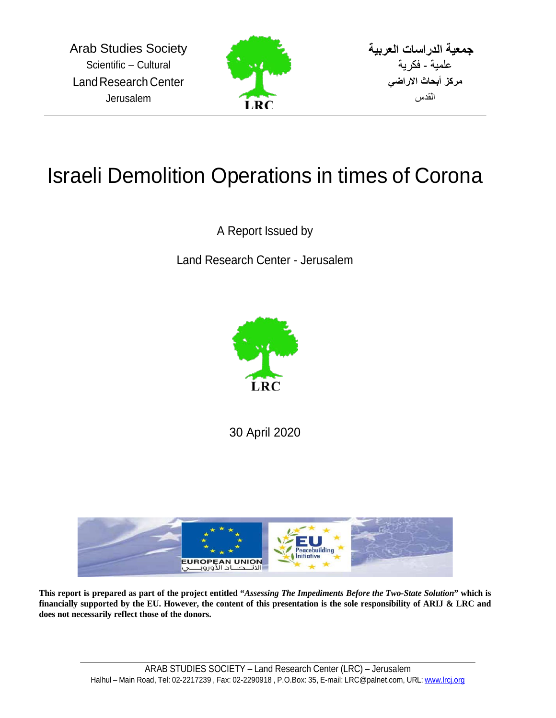

**جمعیة الدراسات العربیة**  علمیة - فكریة **مركز أبحاث الاراضي** القدس

## Israeli Demolition Operations in times of Corona

A Report Issued by

Land Research Center - Jerusalem



30 April 2020



**This report is prepared as part of the project entitled "***Assessing The Impediments Before the Two-State Solution***" which is financially supported by the EU. However, the content of this presentation is the sole responsibility of ARIJ & LRC and does not necessarily reflect those of the donors.**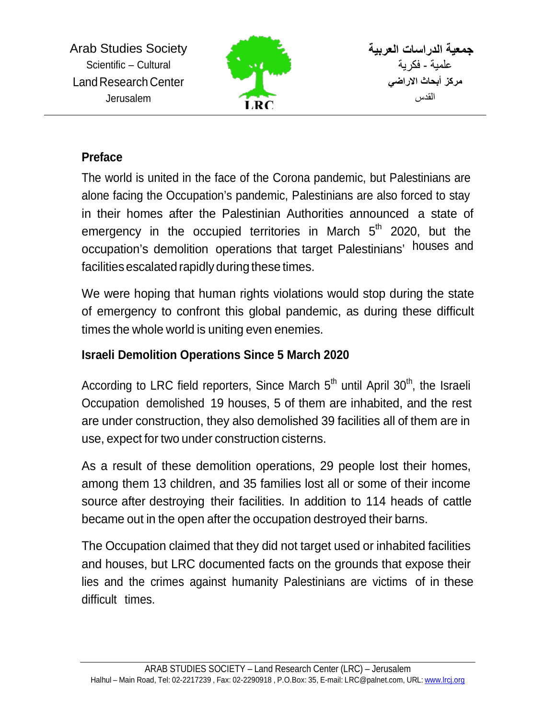

**جمعیة الدراسات العربیة**  علمیة - فكریة **مركز أبحاث الاراضي** القدس

## **Preface**

The world is united in the face of the Corona pandemic, but Palestinians are alone facing the Occupation's pandemic, Palestinians are also forced to stay in their homes after the Palestinian Authorities announced a state of emergency in the occupied territories in March  $5<sup>th</sup>$  2020, but the occupation's demolition operations that target Palestinians' houses and facilities escalated rapidly during these times.

We were hoping that human rights violations would stop during the state of emergency to confront this global pandemic, as during these difficult times the whole world is uniting even enemies.

## **Israeli Demolition Operations Since 5 March 2020**

According to LRC field reporters, Since March 5<sup>th</sup> until April 30<sup>th</sup>, the Israeli Occupation demolished 19 houses, 5 of them are inhabited, and the rest are under construction, they also demolished 39 facilities all of them are in use, expect for two under construction cisterns.

As a result of these demolition operations, 29 people lost their homes, among them 13 children, and 35 families lost all or some of their income source after destroying their facilities. In addition to 114 heads of cattle became out in the open after the occupation destroyed their barns.

The Occupation claimed that they did not target used or inhabited facilities and houses, but LRC documented facts on the grounds that expose their lies and the crimes against humanity Palestinians are victims of in these difficult times.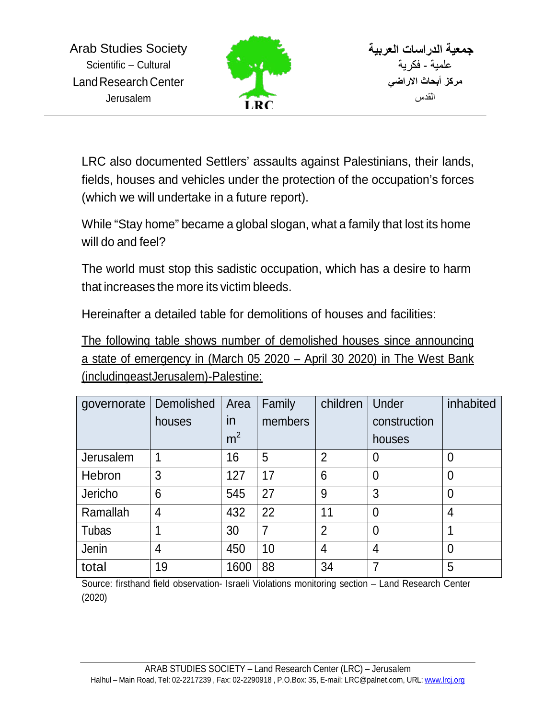

LRC also documented Settlers' assaults against Palestinians, their lands, fields, houses and vehicles under the protection of the occupation's forces (which we will undertake in a future report).

While "Stay home" became a global slogan, what a family that lost its home will do and feel?

The world must stop this sadistic occupation, which has a desire to harm that increases the more its victim bleeds.

Hereinafter a detailed table for demolitions of houses and facilities:

The following table shows number of demolished houses since announcing a state of emergency in (March 05 2020 – April 30 2020) in The West Bank (includingeastJerusalem)-Palestine:

| governorate  | Demolished | Area           | Family  | children       | Under          | inhabited      |
|--------------|------------|----------------|---------|----------------|----------------|----------------|
|              | houses     | in.            | members |                | construction   |                |
|              |            | m <sup>2</sup> |         |                | houses         |                |
| Jerusalem    | 1          | 16             | 5       | $\overline{2}$ | 0              | $\overline{0}$ |
| Hebron       | 3          | 127            | 17      | 6              | $\overline{0}$ | $\overline{0}$ |
| Jericho      | 6          | 545            | 27      | 9              | 3              | $\overline{0}$ |
| Ramallah     | 4          | 432            | 22      | 11             | $\overline{0}$ | $\overline{4}$ |
| <b>Tubas</b> |            | 30             | 7       | $\overline{2}$ | $\overline{0}$ |                |
| Jenin        | 4          | 450            | 10      | 4              | $\overline{4}$ | $\overline{0}$ |
| total        | 19         | 1600           | 88      | 34             | 7              | 5              |

Source: firsthand field observation- Israeli Violations monitoring section – Land Research Center (2020)